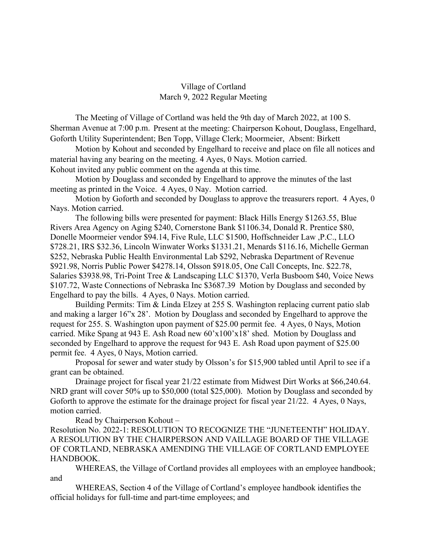## Village of Cortland March 9, 2022 Regular Meeting

The Meeting of Village of Cortland was held the 9th day of March 2022, at 100 S. Sherman Avenue at 7:00 p.m. Present at the meeting: Chairperson Kohout, Douglass, Engelhard, Goforth Utility Superintendent; Ben Topp, Village Clerk; Moormeier, Absent: Birkett

Motion by Kohout and seconded by Engelhard to receive and place on file all notices and material having any bearing on the meeting. 4 Ayes, 0 Nays. Motion carried. Kohout invited any public comment on the agenda at this time.

Motion by Douglass and seconded by Engelhard to approve the minutes of the last meeting as printed in the Voice. 4 Ayes, 0 Nay. Motion carried.

Motion by Goforth and seconded by Douglass to approve the treasurers report. 4 Ayes, 0 Nays. Motion carried.

The following bills were presented for payment: Black Hills Energy \$1263.55, Blue Rivers Area Agency on Aging \$240, Cornerstone Bank \$1106.34, Donald R. Prentice \$80, Donelle Moormeier vendor \$94.14, Five Rule, LLC \$1500, Hoffschneider Law ,P.C., LLO \$728.21, IRS \$32.36, Lincoln Winwater Works \$1331.21, Menards \$116.16, Michelle German \$252, Nebraska Public Health Environmental Lab \$292, Nebraska Department of Revenue \$921.98, Norris Public Power \$4278.14, Olsson \$918.05, One Call Concepts, Inc. \$22.78, Salaries \$3938.98, Tri-Point Tree & Landscaping LLC \$1370, Verla Busboom \$40, Voice News \$107.72, Waste Connections of Nebraska Inc \$3687.39 Motion by Douglass and seconded by Engelhard to pay the bills. 4 Ayes, 0 Nays. Motion carried.

Building Permits: Tim & Linda Elzey at 255 S. Washington replacing current patio slab and making a larger 16"x 28'. Motion by Douglass and seconded by Engelhard to approve the request for 255. S. Washington upon payment of \$25.00 permit fee. 4 Ayes, 0 Nays, Motion carried. Mike Spang at 943 E. Ash Road new 60'x100'x18' shed. Motion by Douglass and seconded by Engelhard to approve the request for 943 E. Ash Road upon payment of \$25.00 permit fee. 4 Ayes, 0 Nays, Motion carried.

Proposal for sewer and water study by Olsson's for \$15,900 tabled until April to see if a grant can be obtained.

Drainage project for fiscal year 21/22 estimate from Midwest Dirt Works at \$66,240.64. NRD grant will cover 50% up to \$50,000 (total \$25,000). Motion by Douglass and seconded by Goforth to approve the estimate for the drainage project for fiscal year 21/22. 4 Ayes, 0 Nays, motion carried.

Read by Chairperson Kohout –

Resolution No. 2022-1: RESOLUTION TO RECOGNIZE THE "JUNETEENTH" HOLIDAY. A RESOLUTION BY THE CHAIRPERSON AND VAILLAGE BOARD OF THE VILLAGE OF CORTLAND, NEBRASKA AMENDING THE VILLAGE OF CORTLAND EMPLOYEE HANDBOOK.

WHEREAS, the Village of Cortland provides all employees with an employee handbook; and

WHEREAS, Section 4 of the Village of Cortland's employee handbook identifies the official holidays for full-time and part-time employees; and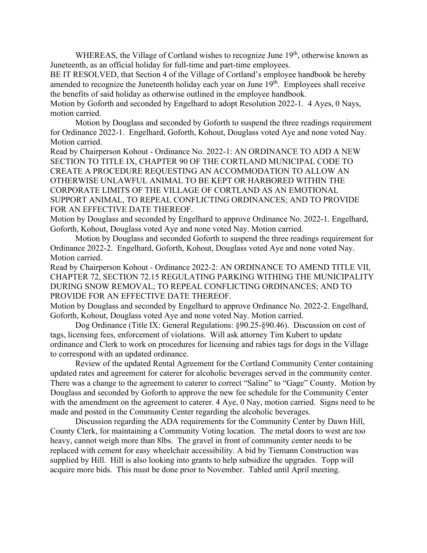WHEREAS, the Village of Cortland wishes to recognize June 19<sup>th</sup>, otherwise known as Juneteenth, as an official holiday for full-time and part-time employees.

BE IT RESOLVED, that Section 4 of the Village of Cortland's employee handbook be hereby amended to recognize the Juneteenth holiday each year on June  $19<sup>th</sup>$ . Employees shall receive the benefits of said holiday as otherwise outlined in the employee handbook.

Motion by Goforth and seconded by Engelhard to adopt Resolution 2022-1. 4 Ayes, 0 Nays, motion carried.

Motion by Douglass and seconded by Goforth to suspend the three readings requirement for Ordinance 2022-1. Engelhard, Goforth, Kohout, Douglass voted Aye and none voted Nay. Motion carried.

Read by Chairperson Kohout - Ordinance No. 2022-1: AN ORDINANCE TO ADD A NEW SECTION TO TITLE IX, CHAPTER 90 OF THE CORTLAND MUNICIPAL CODE TO CREATE A PROCEDURE REQUESTING AN ACCOMMODATION TO ALLOW AN OTHERWISE UNLAWFUL ANIMAL TO BE KEPT OR HARBORED WITHIN THE CORPORATE LIMITS OF THE VILLAGE OF CORTLAND AS AN EMOTIONAL SUPPORT ANIMAL, TO REPEAL CONFLICTING ORDINANCES; AND TO PROVIDE FOR AN EFFECTIVE DATE THEREOF.

Motion by Douglass and seconded by Engelhard to approve Ordinance No. 2022-1. Engelhard, Goforth, Kohout, Douglass voted Aye and none voted Nay. Motion carried.

Motion by Douglass and seconded Goforth to suspend the three readings requirement for Ordinance 2022-2. Engelhard, Goforth, Kohout, Douglass voted Aye and none voted Nay. Motion carried.

Read by Chairperson Kohout - Ordinance 2022-2: AN ORDINANCE TO AMEND TITLE VII, CHAPTER 72, SECTION 72.15 REGULATING PARKING WITHING THE MUNICIPALITY DURING SNOW REMOVAL; TO REPEAL CONFLICTING ORDINANCES; AND TO PROVIDE FOR AN EFFECTIVE DATE THEREOF.

Motion by Douglass and seconded by Engelhard to approve Ordinance No. 2022-2. Engelhard, Goforth, Kohout, Douglass voted Aye and none voted Nay. Motion carried.

Dog Ordinance (Title IX: General Regulations: §90.25-§90.46). Discussion on cost of tags, licensing fees, enforcement of violations. Will ask attorney Tim Kubert to update ordinance and Clerk to work on procedures for licensing and rabies tags for dogs in the Village to correspond with an updated ordinance.

Review of the updated Rental Agreement for the Cortland Community Center containing updated rates and agreement for caterer for alcoholic beverages served in the community center. There was a change to the agreement to caterer to correct "Saline" to "Gage" County. Motion by Douglass and seconded by Goforth to approve the new fee schedule for the Community Center with the amendment on the agreement to caterer. 4 Aye, 0 Nay, motion carried. Signs need to be made and posted in the Community Center regarding the alcoholic beverages.

Discussion regarding the ADA requirements for the Community Center by Dawn Hill, County Clerk, for maintaining a Community Voting location. The metal doors to west are too heavy, cannot weigh more than 8lbs. The gravel in front of community center needs to be replaced with cement for easy wheelchair accessibility. A bid by Tiemann Construction was supplied by Hill. Hill is also looking into grants to help subsidize the upgrades. Topp will acquire more bids. This must be done prior to November. Tabled until April meeting.